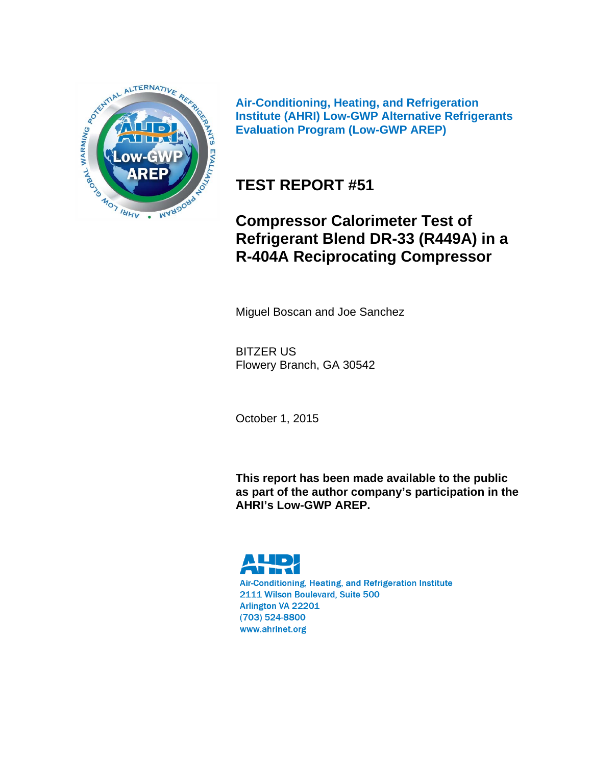

**Air-Conditioning, Heating, and Refrigeration Institute (AHRI) Low-GWP Alternative Refrigerants Evaluation Program (Low-GWP AREP)** 

### **TEST REPORT #51**

### **Compressor Calorimeter Test of Refrigerant Blend DR-33 (R449A) in a R-404A Reciprocating Compressor**

Miguel Boscan and Joe Sanchez

BITZER US Flowery Branch, GA 30542

October 1, 2015

**This report has been made available to the public as part of the author company's participation in the AHRI's Low-GWP AREP.** 

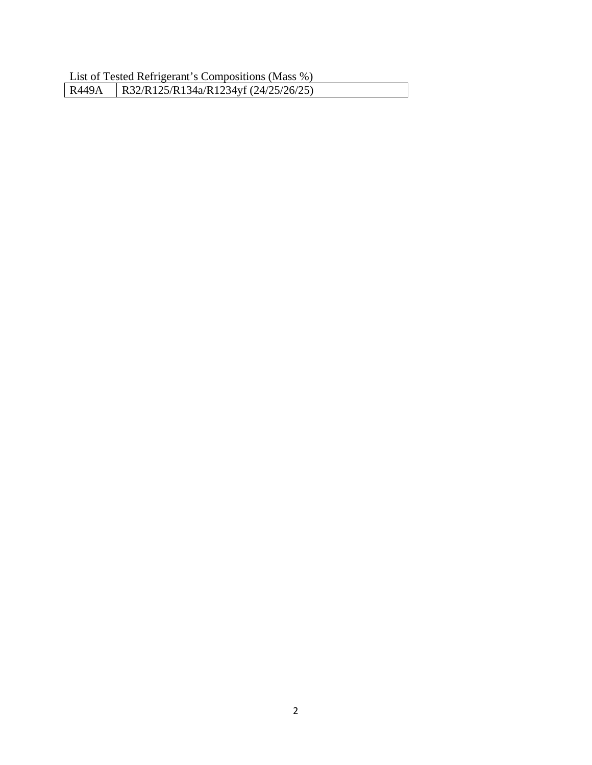List of Tested Refrigerant's Compositions (Mass %) R449A | R32/R125/R134a/R1234yf (24/25/26/25)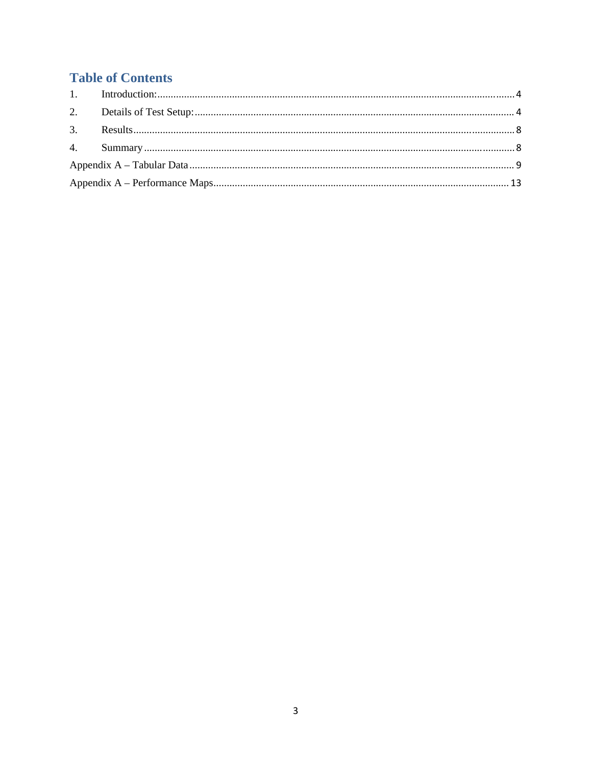### **Table of Contents**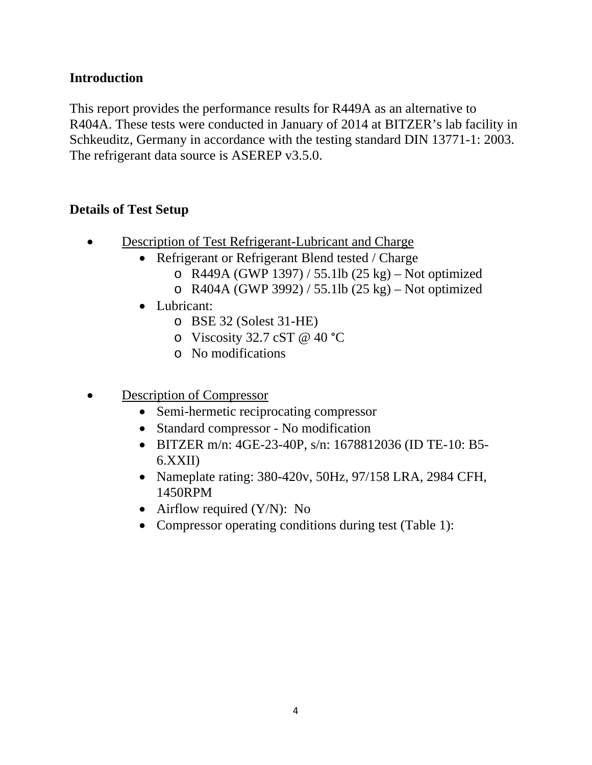#### **Introduction**

This report provides the performance results for R449A as an alternative to R404A. These tests were conducted in January of 2014 at BITZER's lab facility in Schkeuditz, Germany in accordance with the testing standard DIN 13771-1: 2003. The refrigerant data source is ASEREP v3.5.0.

#### **Details of Test Setup**

- Description of Test Refrigerant-Lubricant and Charge
	- Refrigerant or Refrigerant Blend tested / Charge
		- o R449A (GWP 1397) / 55.1lb (25 kg) Not optimized
		- o R404A (GWP 3992) / 55.1lb (25 kg) Not optimized
	- Lubricant:
		- o BSE 32 (Solest 31-HE)
		- o Viscosity 32.7 cST @ 40 °C
		- o No modifications
- Description of Compressor
	- Semi-hermetic reciprocating compressor
	- Standard compressor No modification
	- BITZER m/n: 4GE-23-40P, s/n: 1678812036 (ID TE-10: B5-6.XXII)
	- Nameplate rating: 380-420v, 50Hz, 97/158 LRA, 2984 CFH, 1450RPM
	- Airflow required  $(Y/N)$ : No
	- Compressor operating conditions during test (Table 1):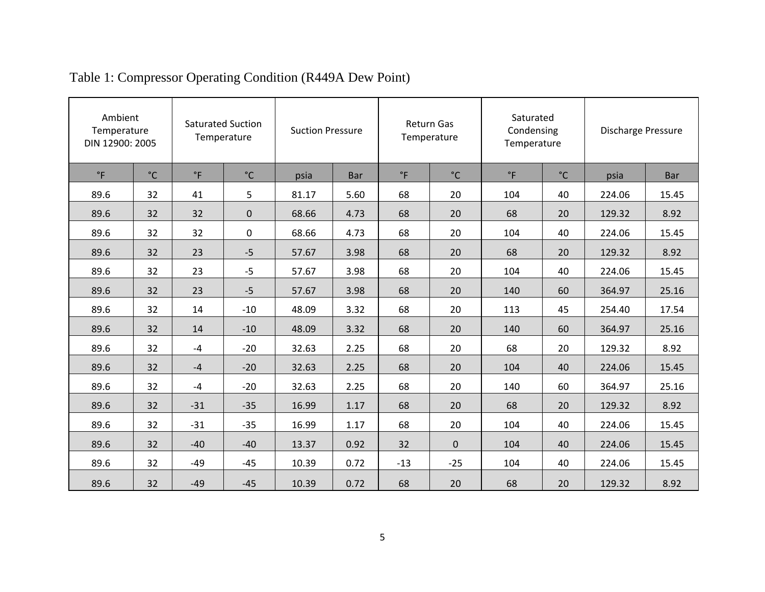|           | Ambient<br>Temperature<br>DIN 12900: 2005 |              | <b>Saturated Suction</b><br>Temperature |       | <b>Suction Pressure</b> |             | <b>Return Gas</b><br>Temperature |             | Saturated<br>Condensing<br>Temperature |        | <b>Discharge Pressure</b> |  |
|-----------|-------------------------------------------|--------------|-----------------------------------------|-------|-------------------------|-------------|----------------------------------|-------------|----------------------------------------|--------|---------------------------|--|
| $\circ$ F | $^{\circ}$ C                              | $^{\circ}$ F | $^{\circ}$ C                            | psia  | <b>Bar</b>              | $\degree$ F | $^{\circ}$ C                     | $\degree$ F | $^{\circ}$ C                           | psia   | <b>Bar</b>                |  |
| 89.6      | 32                                        | 41           | 5                                       | 81.17 | 5.60                    | 68          | 20                               | 104         | 40                                     | 224.06 | 15.45                     |  |
| 89.6      | 32                                        | 32           | $\mathbf 0$                             | 68.66 | 4.73                    | 68          | 20                               | 68          | 20                                     | 129.32 | 8.92                      |  |
| 89.6      | 32                                        | 32           | $\mathbf 0$                             | 68.66 | 4.73                    | 68          | 20                               | 104         | 40                                     | 224.06 | 15.45                     |  |
| 89.6      | 32                                        | 23           | $-5$                                    | 57.67 | 3.98                    | 68          | 20                               | 68          | 20                                     | 129.32 | 8.92                      |  |
| 89.6      | 32                                        | 23           | $-5$                                    | 57.67 | 3.98                    | 68          | 20                               | 104         | 40                                     | 224.06 | 15.45                     |  |
| 89.6      | 32                                        | 23           | $-5$                                    | 57.67 | 3.98                    | 68          | 20                               | 140         | 60                                     | 364.97 | 25.16                     |  |
| 89.6      | 32                                        | 14           | $-10$                                   | 48.09 | 3.32                    | 68          | 20                               | 113         | 45                                     | 254.40 | 17.54                     |  |
| 89.6      | 32                                        | 14           | $-10$                                   | 48.09 | 3.32                    | 68          | 20                               | 140         | 60                                     | 364.97 | 25.16                     |  |
| 89.6      | 32                                        | $-4$         | $-20$                                   | 32.63 | 2.25                    | 68          | 20                               | 68          | 20                                     | 129.32 | 8.92                      |  |
| 89.6      | 32                                        | $-4$         | $-20$                                   | 32.63 | 2.25                    | 68          | 20                               | 104         | 40                                     | 224.06 | 15.45                     |  |
| 89.6      | 32                                        | $-4$         | $-20$                                   | 32.63 | 2.25                    | 68          | 20                               | 140         | 60                                     | 364.97 | 25.16                     |  |
| 89.6      | 32                                        | $-31$        | $-35$                                   | 16.99 | 1.17                    | 68          | 20                               | 68          | 20                                     | 129.32 | 8.92                      |  |
| 89.6      | 32                                        | $-31$        | $-35$                                   | 16.99 | 1.17                    | 68          | 20                               | 104         | 40                                     | 224.06 | 15.45                     |  |
| 89.6      | 32                                        | $-40$        | $-40$                                   | 13.37 | 0.92                    | 32          | 0                                | 104         | 40                                     | 224.06 | 15.45                     |  |
| 89.6      | 32                                        | $-49$        | $-45$                                   | 10.39 | 0.72                    | $-13$       | $-25$                            | 104         | 40                                     | 224.06 | 15.45                     |  |
| 89.6      | 32                                        | $-49$        | $-45$                                   | 10.39 | 0.72                    | 68          | 20                               | 68          | 20                                     | 129.32 | 8.92                      |  |

# Table 1: Compressor Operating Condition (R449A Dew Point)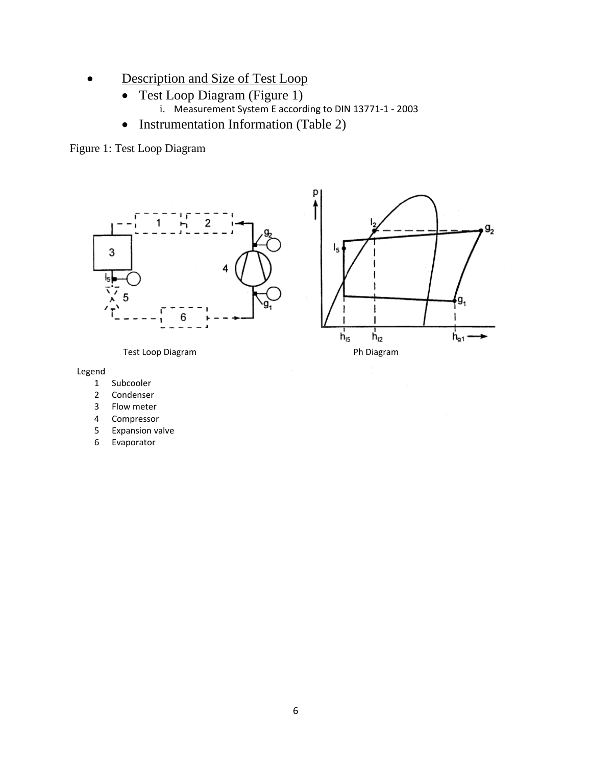- Description and Size of Test Loop
	- Test Loop Diagram (Figure 1)
		- i. Measurement System E according to DIN 13771-1 2003

p

• Instrumentation Information (Table 2)

Figure 1: Test Loop Diagram





Legend

- 1 Subcooler
- 2 Condenser
- 3 Flow meter
- 4 Compressor
- 5 Expansion valve
- 6 Evaporator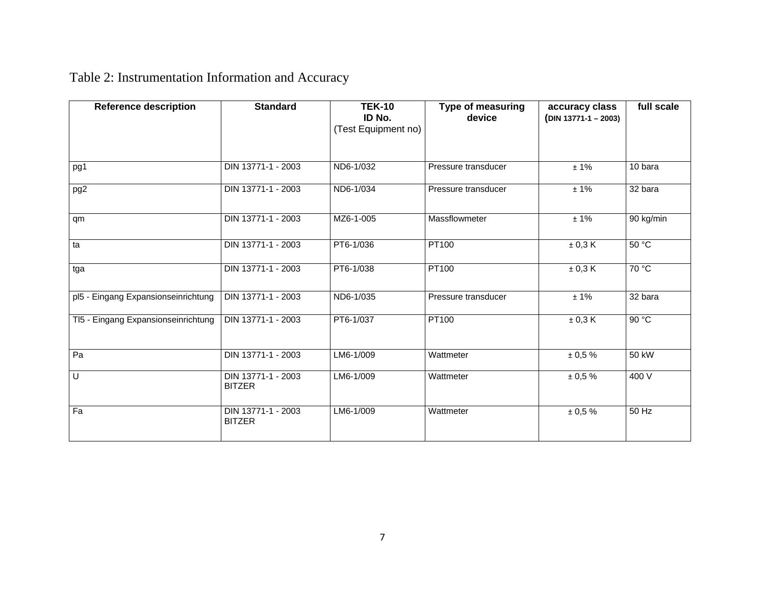## Table 2: Instrumentation Information and Accuracy

| <b>Reference description</b>        | <b>Standard</b>                     | <b>TEK-10</b><br>ID No.<br>(Test Equipment no) | <b>Type of measuring</b><br>device | accuracy class<br>$(DIN 13771-1 - 2003)$ | full scale |
|-------------------------------------|-------------------------------------|------------------------------------------------|------------------------------------|------------------------------------------|------------|
| pg1                                 | DIN 13771-1 - 2003                  | ND6-1/032                                      | Pressure transducer                | ± 1%                                     | 10 bara    |
| pg2                                 | DIN 13771-1 - 2003                  | ND6-1/034                                      | Pressure transducer                | ±1%                                      | 32 bara    |
| qm                                  | DIN 13771-1 - 2003                  | MZ6-1-005                                      | Massflowmeter                      | ± 1%                                     | 90 kg/min  |
| ta                                  | DIN 13771-1 - 2003                  | PT6-1/036                                      | <b>PT100</b>                       | ± 0,3 K                                  | 50 °C      |
| tga                                 | DIN 13771-1 - 2003                  | PT6-1/038                                      | <b>PT100</b>                       | ± 0,3 K                                  | 70 °C      |
| pl5 - Eingang Expansionseinrichtung | DIN 13771-1 - 2003                  | ND6-1/035                                      | Pressure transducer                | ±1%                                      | 32 bara    |
| TI5 - Eingang Expansionseinrichtung | DIN 13771-1 - 2003                  | PT6-1/037                                      | PT100                              | ± 0,3 K                                  | 90 °C      |
| Pa                                  | DIN 13771-1 - 2003                  | LM6-1/009                                      | Wattmeter                          | ± 0,5%                                   | 50 kW      |
| U                                   | DIN 13771-1 - 2003<br><b>BITZER</b> | LM6-1/009                                      | Wattmeter                          | ± 0,5%                                   | 400 V      |
| Fa                                  | DIN 13771-1 - 2003<br><b>BITZER</b> | LM6-1/009                                      | Wattmeter                          | ± 0.5 %                                  | 50 Hz      |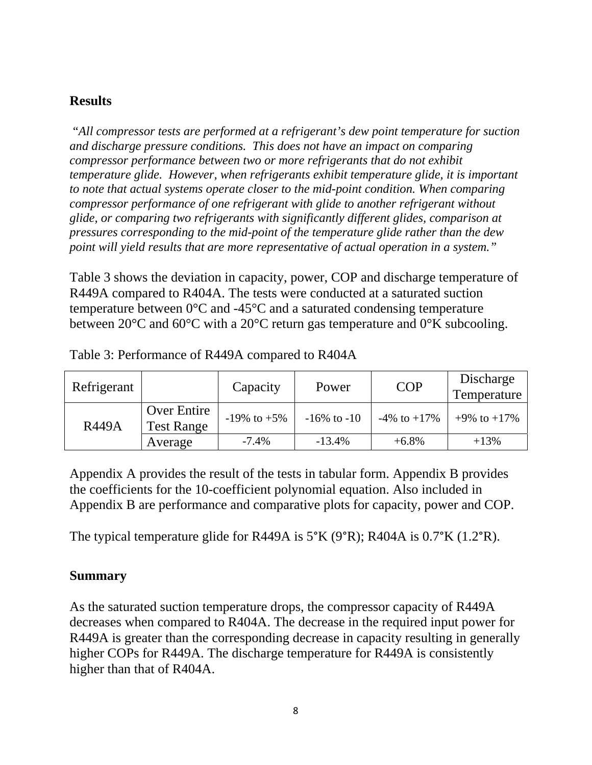#### **Results**

"*All compressor tests are performed at a refrigerant's dew point temperature for suction and discharge pressure conditions. This does not have an impact on comparing compressor performance between two or more refrigerants that do not exhibit temperature glide. However, when refrigerants exhibit temperature glide, it is important to note that actual systems operate closer to the mid-point condition. When comparing compressor performance of one refrigerant with glide to another refrigerant without glide, or comparing two refrigerants with significantly different glides, comparison at pressures corresponding to the mid-point of the temperature glide rather than the dew point will yield results that are more representative of actual operation in a system."* 

Table 3 shows the deviation in capacity, power, COP and discharge temperature of R449A compared to R404A. The tests were conducted at a saturated suction temperature between  $0^{\circ}$ C and  $-45^{\circ}$ C and a saturated condensing temperature between 20°C and 60°C with a 20°C return gas temperature and 0°K subcooling.

| Refrigerant  |                                  | Capacity          | Power            | <b>COP</b>        | Discharge<br>Temperature |
|--------------|----------------------------------|-------------------|------------------|-------------------|--------------------------|
| <b>R449A</b> | Over Entire<br><b>Test Range</b> | $-19\%$ to $+5\%$ | $-16\%$ to $-10$ | $-4\%$ to $+17\%$ | $+9\%$ to $+17\%$        |
|              | Average                          | $-7.4\%$          | $-13.4%$         | $+6.8\%$          | $+13%$                   |

Table 3: Performance of R449A compared to R404A

Appendix A provides the result of the tests in tabular form. Appendix B provides the coefficients for the 10-coefficient polynomial equation. Also included in Appendix B are performance and comparative plots for capacity, power and COP.

The typical temperature glide for R449A is  $5^{\circ}$ K (9 $^{\circ}$ R); R404A is 0.7 $^{\circ}$ K (1.2 $^{\circ}$ R).

#### **Summary**

As the saturated suction temperature drops, the compressor capacity of R449A decreases when compared to R404A. The decrease in the required input power for R449A is greater than the corresponding decrease in capacity resulting in generally higher COPs for R449A. The discharge temperature for R449A is consistently higher than that of R404A.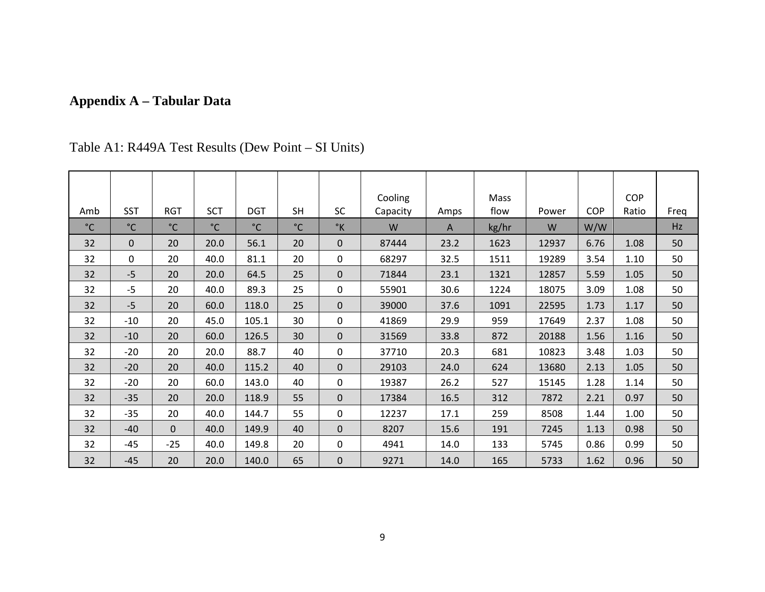## **Appendix A – Tabular Data**

| Amb          | <b>SST</b>   | <b>RGT</b>   | <b>SCT</b>   | <b>DGT</b>   | <b>SH</b>    | <b>SC</b>     | Cooling<br>Capacity | Amps | Mass<br>flow | Power | <b>COP</b> | <b>COP</b><br>Ratio | Freq |
|--------------|--------------|--------------|--------------|--------------|--------------|---------------|---------------------|------|--------------|-------|------------|---------------------|------|
| $^{\circ}$ C | $^{\circ}$ C | $^{\circ}$ C | $^{\circ}$ C | $^{\circ}$ C | $^{\circ}$ C | $\mathcal{C}$ | W                   | A    | kg/hr        | W     | W/W        |                     | Hz   |
| 32           | $\mathbf{0}$ | 20           | 20.0         | 56.1         | 20           | $\mathbf{0}$  | 87444               | 23.2 | 1623         | 12937 | 6.76       | 1.08                | 50   |
| 32           | $\Omega$     | 20           | 40.0         | 81.1         | 20           | 0             | 68297               | 32.5 | 1511         | 19289 | 3.54       | 1.10                | 50   |
| 32           | $-5$         | 20           | 20.0         | 64.5         | 25           | $\mathbf{0}$  | 71844               | 23.1 | 1321         | 12857 | 5.59       | 1.05                | 50   |
| 32           | $-5$         | 20           | 40.0         | 89.3         | 25           | 0             | 55901               | 30.6 | 1224         | 18075 | 3.09       | 1.08                | 50   |
| 32           | $-5$         | 20           | 60.0         | 118.0        | 25           | $\mathbf{0}$  | 39000               | 37.6 | 1091         | 22595 | 1.73       | 1.17                | 50   |
| 32           | $-10$        | 20           | 45.0         | 105.1        | 30           | 0             | 41869               | 29.9 | 959          | 17649 | 2.37       | 1.08                | 50   |
| 32           | $-10$        | 20           | 60.0         | 126.5        | 30           | $\mathbf{0}$  | 31569               | 33.8 | 872          | 20188 | 1.56       | 1.16                | 50   |
| 32           | $-20$        | 20           | 20.0         | 88.7         | 40           | $\mathbf 0$   | 37710               | 20.3 | 681          | 10823 | 3.48       | 1.03                | 50   |
| 32           | $-20$        | 20           | 40.0         | 115.2        | 40           | $\mathbf{0}$  | 29103               | 24.0 | 624          | 13680 | 2.13       | 1.05                | 50   |
| 32           | $-20$        | 20           | 60.0         | 143.0        | 40           | $\mathbf 0$   | 19387               | 26.2 | 527          | 15145 | 1.28       | 1.14                | 50   |
| 32           | $-35$        | 20           | 20.0         | 118.9        | 55           | $\mathbf 0$   | 17384               | 16.5 | 312          | 7872  | 2.21       | 0.97                | 50   |
| 32           | $-35$        | 20           | 40.0         | 144.7        | 55           | 0             | 12237               | 17.1 | 259          | 8508  | 1.44       | 1.00                | 50   |
| 32           | $-40$        | $\mathbf{0}$ | 40.0         | 149.9        | 40           | $\mathbf{0}$  | 8207                | 15.6 | 191          | 7245  | 1.13       | 0.98                | 50   |
| 32           | $-45$        | $-25$        | 40.0         | 149.8        | 20           | $\mathbf 0$   | 4941                | 14.0 | 133          | 5745  | 0.86       | 0.99                | 50   |
| 32           | $-45$        | 20           | 20.0         | 140.0        | 65           | $\mathbf{0}$  | 9271                | 14.0 | 165          | 5733  | 1.62       | 0.96                | 50   |

Table A1: R449A Test Results (Dew Point – SI Units)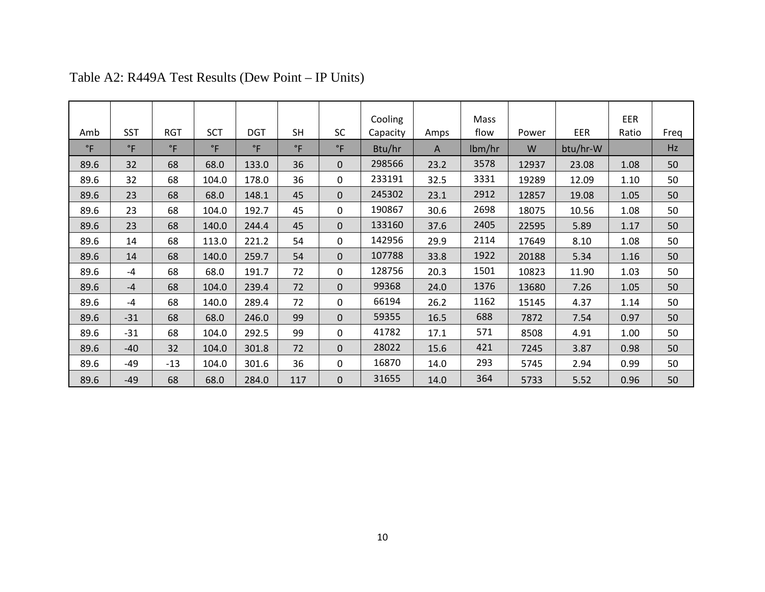|              |              |              |             |             |             |              | Cooling  |      | <b>Mass</b> |       |          | EER   |      |
|--------------|--------------|--------------|-------------|-------------|-------------|--------------|----------|------|-------------|-------|----------|-------|------|
| Amb          | <b>SST</b>   | <b>RGT</b>   | <b>SCT</b>  | <b>DGT</b>  | <b>SH</b>   | <b>SC</b>    | Capacity | Amps | flow        | Power | EER      | Ratio | Freq |
| $^{\circ}$ F | $^{\circ}$ F | $^{\circ}$ F | $\degree$ F | $\degree$ F | $\degree$ F | $^{\circ}$ F | Btu/hr   | A    | lbm/hr      | W     | btu/hr-W |       | Hz   |
| 89.6         | 32           | 68           | 68.0        | 133.0       | 36          | $\Omega$     | 298566   | 23.2 | 3578        | 12937 | 23.08    | 1.08  | 50   |
| 89.6         | 32           | 68           | 104.0       | 178.0       | 36          | $\Omega$     | 233191   | 32.5 | 3331        | 19289 | 12.09    | 1.10  | 50   |
| 89.6         | 23           | 68           | 68.0        | 148.1       | 45          | $\Omega$     | 245302   | 23.1 | 2912        | 12857 | 19.08    | 1.05  | 50   |
| 89.6         | 23           | 68           | 104.0       | 192.7       | 45          | $\Omega$     | 190867   | 30.6 | 2698        | 18075 | 10.56    | 1.08  | 50   |
| 89.6         | 23           | 68           | 140.0       | 244.4       | 45          | $\Omega$     | 133160   | 37.6 | 2405        | 22595 | 5.89     | 1.17  | 50   |
| 89.6         | 14           | 68           | 113.0       | 221.2       | 54          | $\Omega$     | 142956   | 29.9 | 2114        | 17649 | 8.10     | 1.08  | 50   |
| 89.6         | 14           | 68           | 140.0       | 259.7       | 54          | $\Omega$     | 107788   | 33.8 | 1922        | 20188 | 5.34     | 1.16  | 50   |
| 89.6         | $-4$         | 68           | 68.0        | 191.7       | 72          | $\Omega$     | 128756   | 20.3 | 1501        | 10823 | 11.90    | 1.03  | 50   |
| 89.6         | $-4$         | 68           | 104.0       | 239.4       | 72          | $\Omega$     | 99368    | 24.0 | 1376        | 13680 | 7.26     | 1.05  | 50   |
| 89.6         | $-4$         | 68           | 140.0       | 289.4       | 72          | $\Omega$     | 66194    | 26.2 | 1162        | 15145 | 4.37     | 1.14  | 50   |
| 89.6         | $-31$        | 68           | 68.0        | 246.0       | 99          | $\Omega$     | 59355    | 16.5 | 688         | 7872  | 7.54     | 0.97  | 50   |
| 89.6         | $-31$        | 68           | 104.0       | 292.5       | 99          | $\Omega$     | 41782    | 17.1 | 571         | 8508  | 4.91     | 1.00  | 50   |
| 89.6         | $-40$        | 32           | 104.0       | 301.8       | 72          | $\Omega$     | 28022    | 15.6 | 421         | 7245  | 3.87     | 0.98  | 50   |
| 89.6         | $-49$        | $-13$        | 104.0       | 301.6       | 36          | $\Omega$     | 16870    | 14.0 | 293         | 5745  | 2.94     | 0.99  | 50   |
| 89.6         | $-49$        | 68           | 68.0        | 284.0       | 117         | $\Omega$     | 31655    | 14.0 | 364         | 5733  | 5.52     | 0.96  | 50   |

Table A2: R449A Test Results (Dew Point – IP Units)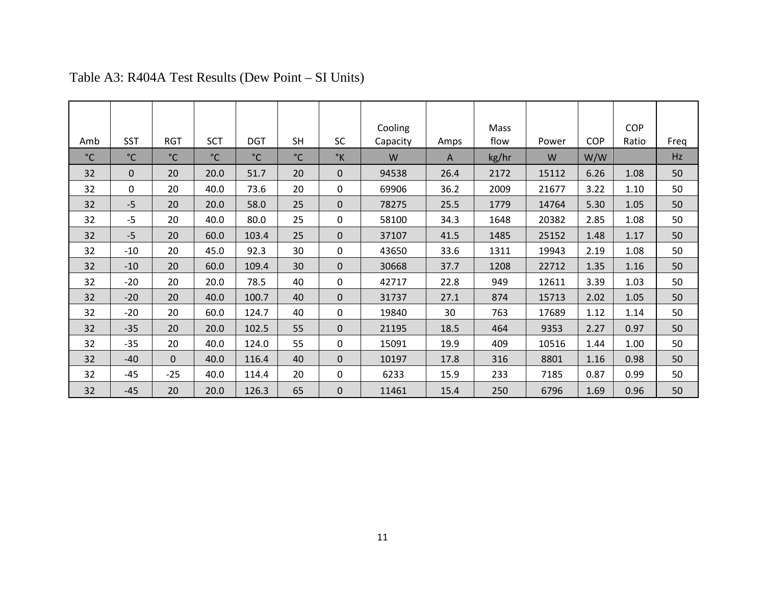|              |              |              |              |              |              |               | Cooling  |      | Mass  |       |            | <b>COP</b> |      |
|--------------|--------------|--------------|--------------|--------------|--------------|---------------|----------|------|-------|-------|------------|------------|------|
| Amb          | <b>SST</b>   | <b>RGT</b>   | <b>SCT</b>   | <b>DGT</b>   | <b>SH</b>    | <b>SC</b>     | Capacity | Amps | flow  | Power | <b>COP</b> | Ratio      | Freq |
| $^{\circ}$ C | $^{\circ}$ C | $^{\circ}$ C | $^{\circ}$ C | $^{\circ}$ C | $^{\circ}$ C | $\mathcal{C}$ | W        | A    | kg/hr | W     | W/W        |            | Hz   |
| 32           | $\Omega$     | 20           | 20.0         | 51.7         | 20           | $\Omega$      | 94538    | 26.4 | 2172  | 15112 | 6.26       | 1.08       | 50   |
| 32           | $\mathbf 0$  | 20           | 40.0         | 73.6         | 20           | $\mathbf 0$   | 69906    | 36.2 | 2009  | 21677 | 3.22       | 1.10       | 50   |
| 32           | $-5$         | 20           | 20.0         | 58.0         | 25           | $\Omega$      | 78275    | 25.5 | 1779  | 14764 | 5.30       | 1.05       | 50   |
| 32           | $-5$         | 20           | 40.0         | 80.0         | 25           | 0             | 58100    | 34.3 | 1648  | 20382 | 2.85       | 1.08       | 50   |
| 32           | $-5$         | 20           | 60.0         | 103.4        | 25           | $\mathbf 0$   | 37107    | 41.5 | 1485  | 25152 | 1.48       | 1.17       | 50   |
| 32           | $-10$        | 20           | 45.0         | 92.3         | 30           | 0             | 43650    | 33.6 | 1311  | 19943 | 2.19       | 1.08       | 50   |
| 32           | $-10$        | 20           | 60.0         | 109.4        | 30           | $\mathbf 0$   | 30668    | 37.7 | 1208  | 22712 | 1.35       | 1.16       | 50   |
| 32           | $-20$        | 20           | 20.0         | 78.5         | 40           | $\Omega$      | 42717    | 22.8 | 949   | 12611 | 3.39       | 1.03       | 50   |
| 32           | $-20$        | 20           | 40.0         | 100.7        | 40           | $\mathbf{0}$  | 31737    | 27.1 | 874   | 15713 | 2.02       | 1.05       | 50   |
| 32           | $-20$        | 20           | 60.0         | 124.7        | 40           | 0             | 19840    | 30   | 763   | 17689 | 1.12       | 1.14       | 50   |
| 32           | $-35$        | 20           | 20.0         | 102.5        | 55           | $\mathbf{0}$  | 21195    | 18.5 | 464   | 9353  | 2.27       | 0.97       | 50   |
| 32           | $-35$        | 20           | 40.0         | 124.0        | 55           | 0             | 15091    | 19.9 | 409   | 10516 | 1.44       | 1.00       | 50   |
| 32           | $-40$        | $\Omega$     | 40.0         | 116.4        | 40           | $\Omega$      | 10197    | 17.8 | 316   | 8801  | 1.16       | 0.98       | 50   |
| 32           | $-45$        | $-25$        | 40.0         | 114.4        | 20           | 0             | 6233     | 15.9 | 233   | 7185  | 0.87       | 0.99       | 50   |
| 32           | $-45$        | 20           | 20.0         | 126.3        | 65           | $\mathbf{0}$  | 11461    | 15.4 | 250   | 6796  | 1.69       | 0.96       | 50   |

## Table A3: R404A Test Results (Dew Point – SI Units)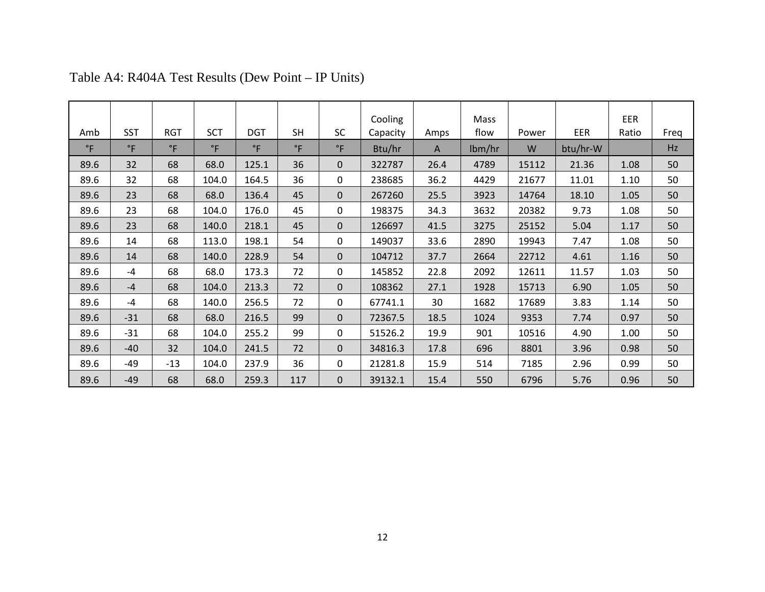|              |             |             |              |             |             |              | Cooling  |      | Mass   |       |          | EER   |      |
|--------------|-------------|-------------|--------------|-------------|-------------|--------------|----------|------|--------|-------|----------|-------|------|
| Amb          | <b>SST</b>  | <b>RGT</b>  | <b>SCT</b>   | <b>DGT</b>  | <b>SH</b>   | <b>SC</b>    | Capacity | Amps | flow   | Power | EER      | Ratio | Freq |
| $^{\circ}$ F | $\degree$ F | $\degree$ F | $^{\circ}$ F | $\degree$ F | $\degree$ F | $^{\circ}$ F | Btu/hr   | A    | lbm/hr | W     | btu/hr-W |       | Hz   |
| 89.6         | 32          | 68          | 68.0         | 125.1       | 36          | $\Omega$     | 322787   | 26.4 | 4789   | 15112 | 21.36    | 1.08  | 50   |
| 89.6         | 32          | 68          | 104.0        | 164.5       | 36          | 0            | 238685   | 36.2 | 4429   | 21677 | 11.01    | 1.10  | 50   |
| 89.6         | 23          | 68          | 68.0         | 136.4       | 45          | $\Omega$     | 267260   | 25.5 | 3923   | 14764 | 18.10    | 1.05  | 50   |
| 89.6         | 23          | 68          | 104.0        | 176.0       | 45          | 0            | 198375   | 34.3 | 3632   | 20382 | 9.73     | 1.08  | 50   |
| 89.6         | 23          | 68          | 140.0        | 218.1       | 45          | $\Omega$     | 126697   | 41.5 | 3275   | 25152 | 5.04     | 1.17  | 50   |
| 89.6         | 14          | 68          | 113.0        | 198.1       | 54          | 0            | 149037   | 33.6 | 2890   | 19943 | 7.47     | 1.08  | 50   |
| 89.6         | 14          | 68          | 140.0        | 228.9       | 54          | $\Omega$     | 104712   | 37.7 | 2664   | 22712 | 4.61     | 1.16  | 50   |
| 89.6         | $-4$        | 68          | 68.0         | 173.3       | 72          | 0            | 145852   | 22.8 | 2092   | 12611 | 11.57    | 1.03  | 50   |
| 89.6         | $-4$        | 68          | 104.0        | 213.3       | 72          | $\Omega$     | 108362   | 27.1 | 1928   | 15713 | 6.90     | 1.05  | 50   |
| 89.6         | $-4$        | 68          | 140.0        | 256.5       | 72          | 0            | 67741.1  | 30   | 1682   | 17689 | 3.83     | 1.14  | 50   |
| 89.6         | $-31$       | 68          | 68.0         | 216.5       | 99          | $\Omega$     | 72367.5  | 18.5 | 1024   | 9353  | 7.74     | 0.97  | 50   |
| 89.6         | $-31$       | 68          | 104.0        | 255.2       | 99          | 0            | 51526.2  | 19.9 | 901    | 10516 | 4.90     | 1.00  | 50   |
| 89.6         | $-40$       | 32          | 104.0        | 241.5       | 72          | $\Omega$     | 34816.3  | 17.8 | 696    | 8801  | 3.96     | 0.98  | 50   |
| 89.6         | $-49$       | $-13$       | 104.0        | 237.9       | 36          | 0            | 21281.8  | 15.9 | 514    | 7185  | 2.96     | 0.99  | 50   |
| 89.6         | $-49$       | 68          | 68.0         | 259.3       | 117         | $\mathbf{0}$ | 39132.1  | 15.4 | 550    | 6796  | 5.76     | 0.96  | 50   |

## Table A4: R404A Test Results (Dew Point – IP Units)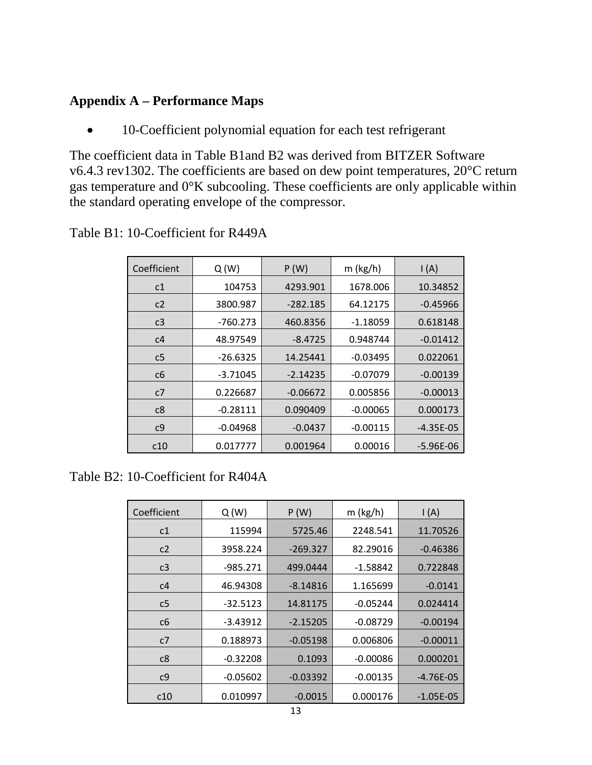#### **Appendix A – Performance Maps**

• 10-Coefficient polynomial equation for each test refrigerant

The coefficient data in Table B1and B2 was derived from BITZER Software v6.4.3 rev1302. The coefficients are based on dew point temperatures, 20°C return gas temperature and 0°K subcooling. These coefficients are only applicable within the standard operating envelope of the compressor.

| Coefficient    | Q(W)       | P(W)       | $m$ (kg/h) | $\mathsf{I}(\mathsf{A})$ |
|----------------|------------|------------|------------|--------------------------|
| c1             | 104753     | 4293.901   | 1678.006   | 10.34852                 |
| c2             | 3800.987   | $-282.185$ | 64.12175   | $-0.45966$               |
| c <sub>3</sub> | $-760.273$ | 460.8356   | $-1.18059$ | 0.618148                 |
| c4             | 48.97549   | $-8.4725$  | 0.948744   | $-0.01412$               |
| c <sub>5</sub> | $-26.6325$ | 14.25441   | $-0.03495$ | 0.022061                 |
| c6             | $-3.71045$ | $-2.14235$ | $-0.07079$ | $-0.00139$               |
| c7             | 0.226687   | $-0.06672$ | 0.005856   | $-0.00013$               |
| c8             | $-0.28111$ | 0.090409   | $-0.00065$ | 0.000173                 |
| c <sub>9</sub> | $-0.04968$ | $-0.0437$  | $-0.00115$ | $-4.35E-05$              |
| c10            | 0.017777   | 0.001964   | 0.00016    | -5.96E-06                |

Table B1: 10-Coefficient for R449A

#### Table B2: 10-Coefficient for R404A

| Coefficient    | Q(W)       | P(W)       | $m$ (kg/h) | $\mathsf{I}(\mathsf{A})$ |
|----------------|------------|------------|------------|--------------------------|
| c1             | 115994     | 5725.46    | 2248.541   | 11.70526                 |
| c2             | 3958.224   | $-269.327$ | 82.29016   | $-0.46386$               |
| c <sub>3</sub> | $-985.271$ | 499.0444   | $-1.58842$ | 0.722848                 |
| c4             | 46.94308   | $-8.14816$ | 1.165699   | $-0.0141$                |
| c <sub>5</sub> | $-32.5123$ | 14.81175   | $-0.05244$ | 0.024414                 |
| c6             | $-3.43912$ | $-2.15205$ | $-0.08729$ | $-0.00194$               |
| c7             | 0.188973   | $-0.05198$ | 0.006806   | $-0.00011$               |
| c8             | $-0.32208$ | 0.1093     | $-0.00086$ | 0.000201                 |
| c <sub>9</sub> | $-0.05602$ | $-0.03392$ | $-0.00135$ | $-4.76E-05$              |
| c10            | 0.010997   | $-0.0015$  | 0.000176   | $-1.05E-05$              |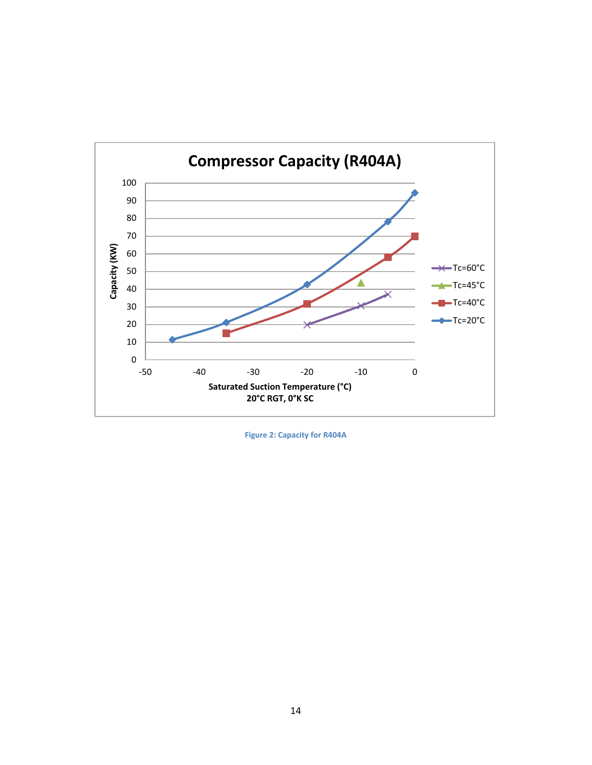

**Figure 2: Capacity for R404A**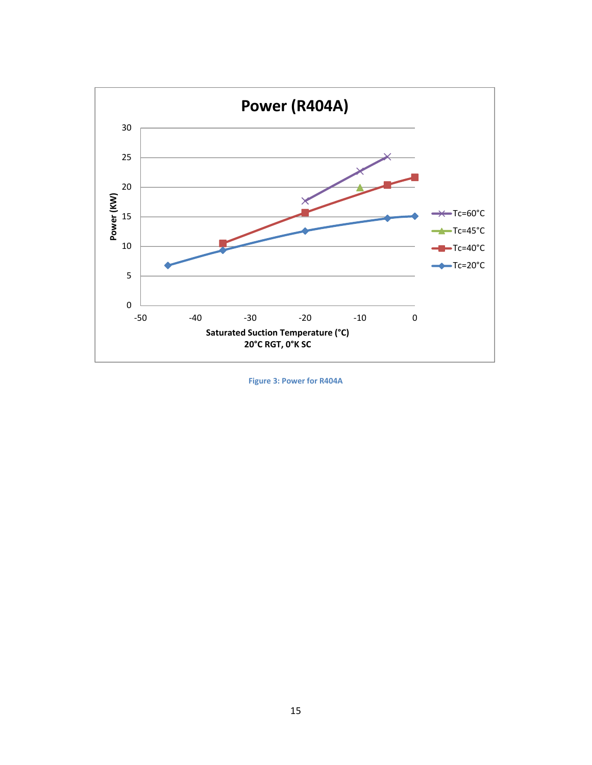

**Figure 3: Power for R404A**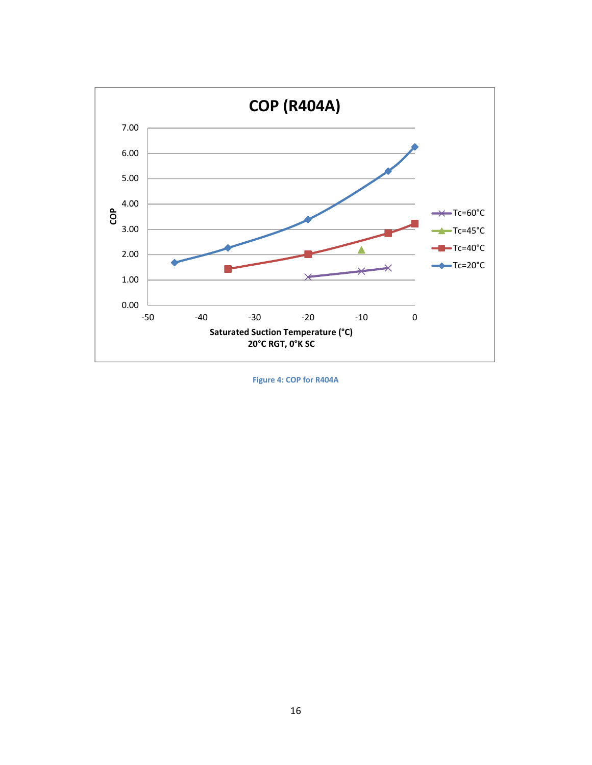

**Figure 4: COP for R404A**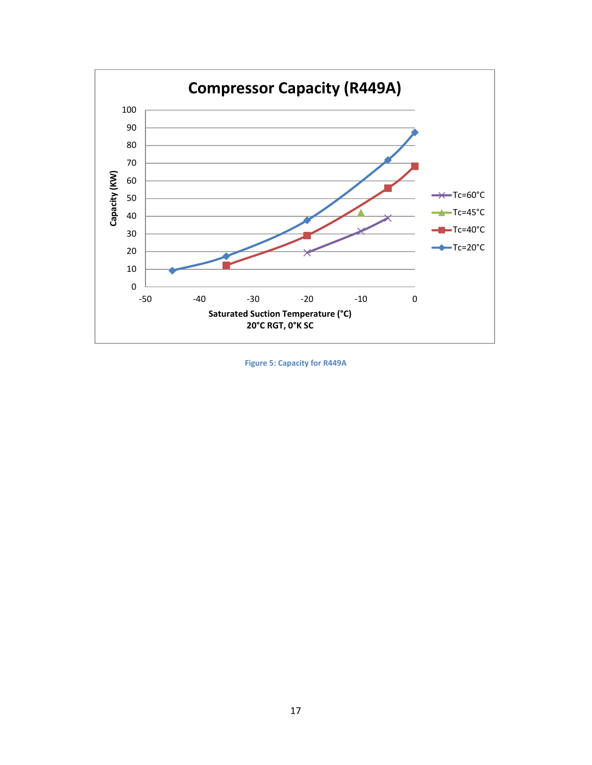

**Figure 5: Capacity for R449A**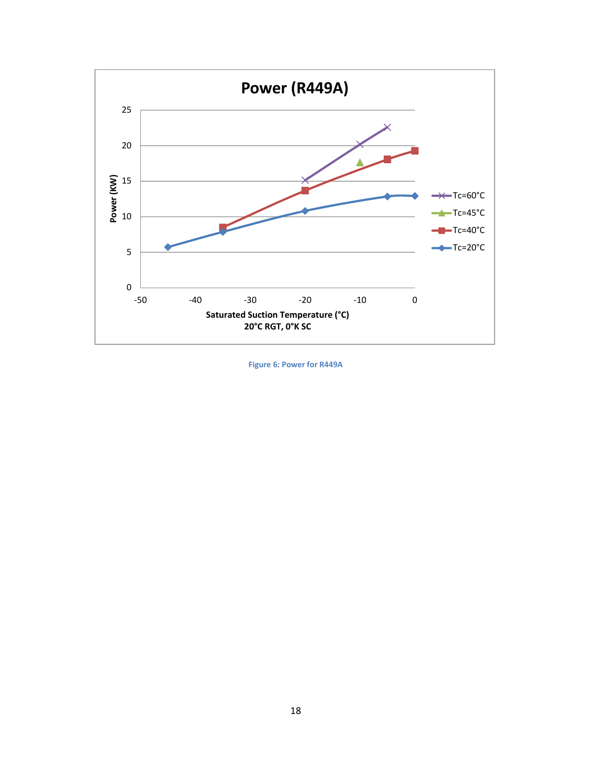

**Figure 6: Power for R449A**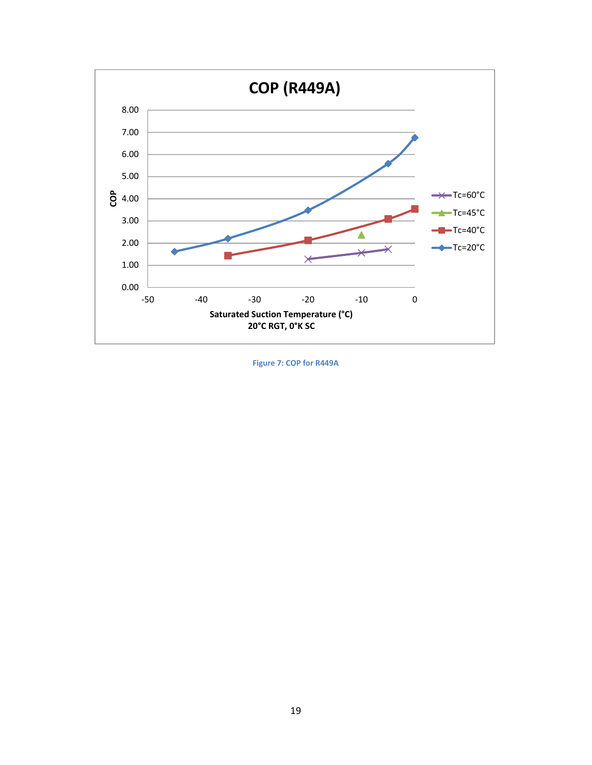

**Figure 7: COP for R449A**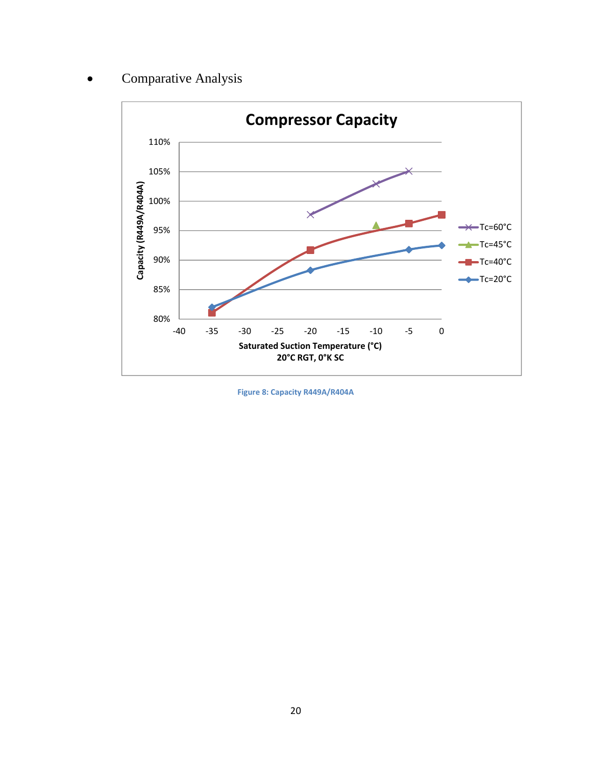### Comparative Analysis



**Figure 8: Capacity R449A/R404A**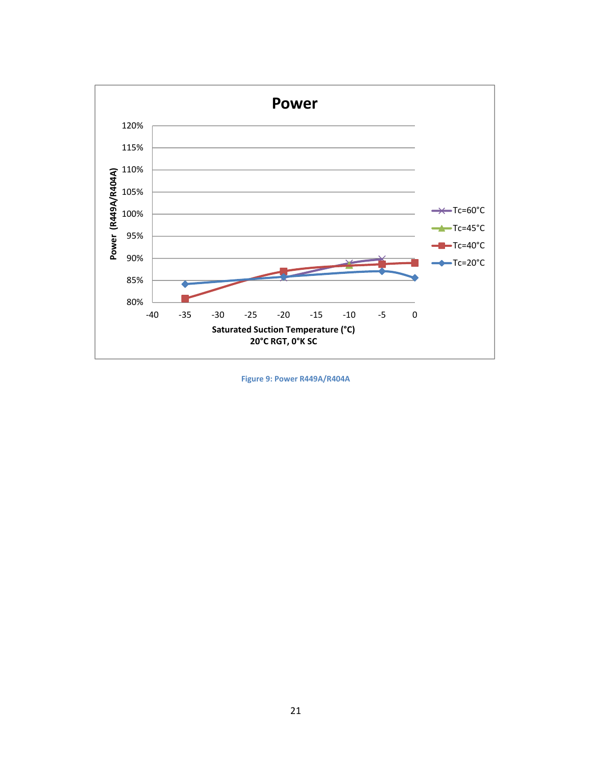

**Figure 9: Power R449A/R404A**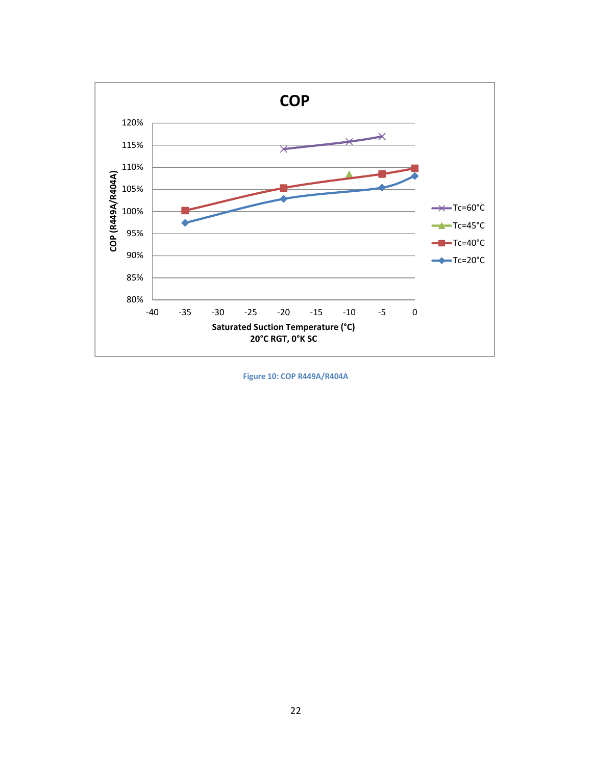

**Figure 10: COP R449A/R404A**